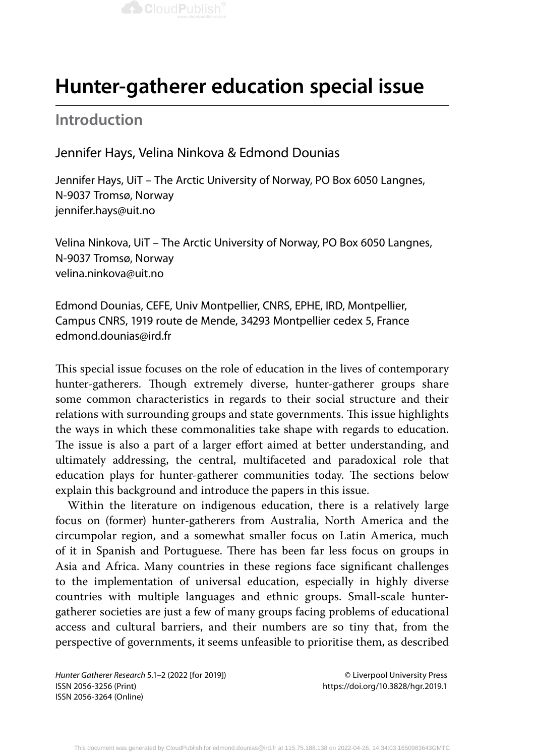

# **Hunter-gatherer education special issue**

## **Introduction**

## Jennifer Hays, Velina Ninkova & Edmond Dounias

Jennifer Hays, UiT – The Arctic University of Norway, PO Box 6050 Langnes, N-9037 Tromsø, Norway jennifer.hays@uit.no

Velina Ninkova, UiT – The Arctic University of Norway, PO Box 6050 Langnes, N-9037 Tromsø, Norway velina.ninkova@uit.no

Edmond Dounias, CEFE, Univ Montpellier, CNRS, EPHE, IRD, Montpellier, Campus CNRS, 1919 route de Mende, 34293 Montpellier cedex 5, France edmond.dounias@ird.fr

This special issue focuses on the role of education in the lives of contemporary hunter-gatherers. Though extremely diverse, hunter-gatherer groups share some common characteristics in regards to their social structure and their relations with surrounding groups and state governments. This issue highlights the ways in which these commonalities take shape with regards to education. The issue is also a part of a larger effort aimed at better understanding, and ultimately addressing, the central, multifaceted and paradoxical role that education plays for hunter-gatherer communities today. The sections below explain this background and introduce the papers in this issue.

Within the literature on indigenous education, there is a relatively large focus on (former) hunter-gatherers from Australia, North America and the circumpolar region, and a somewhat smaller focus on Latin America, much of it in Spanish and Portuguese. There has been far less focus on groups in Asia and Africa. Many countries in these regions face significant challenges to the implementation of universal education, especially in highly diverse countries with multiple languages and ethnic groups. Small-scale huntergatherer societies are just a few of many groups facing problems of educational access and cultural barriers, and their numbers are so tiny that, from the perspective of governments, it seems unfeasible to prioritise them, as described

*Hunter Gatherer Research* 5.1–2 (2022 [for 2019]) © Liverpool University Press ISSN 2056-3256 (Print) https://doi.org/10.3828/hgr.2019.1 ISSN 2056-3264 (Online)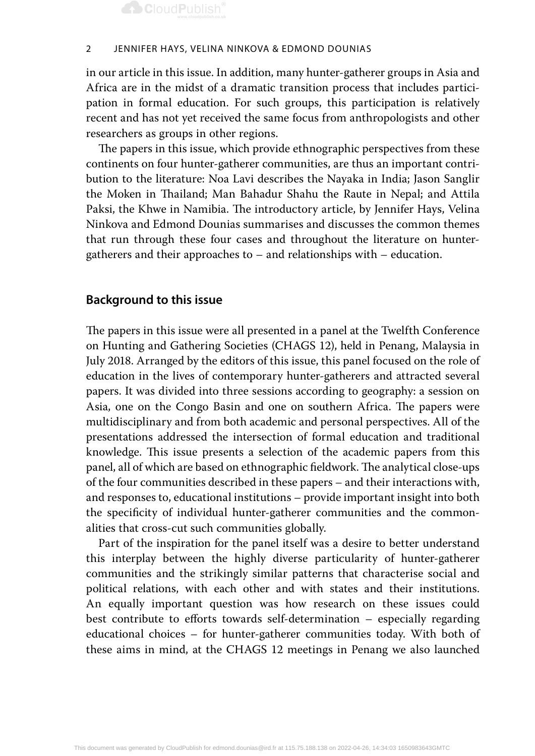

in our article in this issue. In addition, many hunter-gatherer groups in Asia and Africa are in the midst of a dramatic transition process that includes participation in formal education. For such groups, this participation is relatively recent and has not yet received the same focus from anthropologists and other researchers as groups in other regions.

The papers in this issue, which provide ethnographic perspectives from these continents on four hunter-gatherer communities, are thus an important contribution to the literature: Noa Lavi describes the Nayaka in India; Jason Sanglir the Moken in Thailand; Man Bahadur Shahu the Raute in Nepal; and Attila Paksi, the Khwe in Namibia. The introductory article, by Jennifer Hays, Velina Ninkova and Edmond Dounias summarises and discusses the common themes that run through these four cases and throughout the literature on huntergatherers and their approaches to – and relationships with – education.

## **Background to this issue**

The papers in this issue were all presented in a panel at the Twelfth Conference on Hunting and Gathering Societies (CHAGS 12), held in Penang, Malaysia in July 2018. Arranged by the editors of this issue, this panel focused on the role of education in the lives of contemporary hunter-gatherers and attracted several papers. It was divided into three sessions according to geography: a session on Asia, one on the Congo Basin and one on southern Africa. The papers were multidisciplinary and from both academic and personal perspectives. All of the presentations addressed the intersection of formal education and traditional knowledge. This issue presents a selection of the academic papers from this panel, all of which are based on ethnographic fieldwork. The analytical close-ups of the four communities described in these papers – and their interactions with, and responses to, educational institutions – provide important insight into both the specificity of individual hunter-gatherer communities and the commonalities that cross-cut such communities globally.

Part of the inspiration for the panel itself was a desire to better understand this interplay between the highly diverse particularity of hunter-gatherer communities and the strikingly similar patterns that characterise social and political relations, with each other and with states and their institutions. An equally important question was how research on these issues could best contribute to efforts towards self-determination – especially regarding educational choices – for hunter-gatherer communities today. With both of these aims in mind, at the CHAGS 12 meetings in Penang we also launched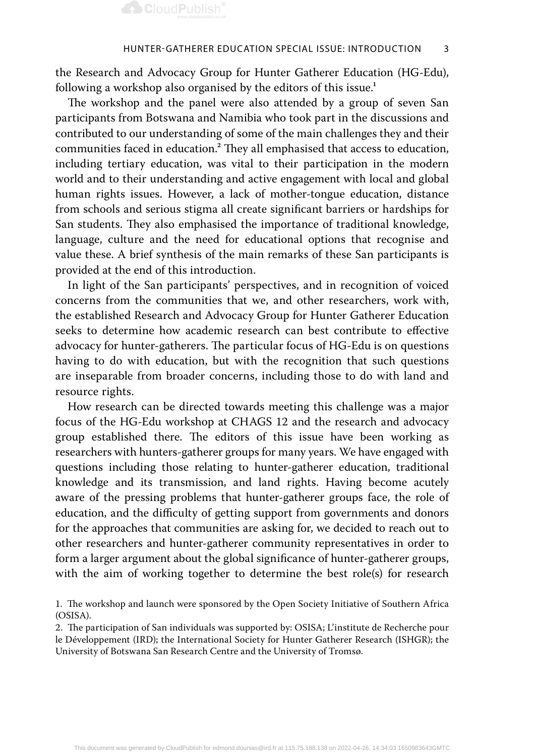

the Research and Advocacy Group for Hunter Gatherer Education (HG-Edu), following a workshop also organised by the editors of this issue.<sup>1</sup>

The workshop and the panel were also attended by a group of seven San participants from Botswana and Namibia who took part in the discussions and contributed to our understanding of some of the main challenges they and their communities faced in education.<sup>2</sup> They all emphasised that access to education, including tertiary education, was vital to their participation in the modern world and to their understanding and active engagement with local and global human rights issues. However, a lack of mother-tongue education, distance from schools and serious stigma all create significant barriers or hardships for San students. They also emphasised the importance of traditional knowledge, language, culture and the need for educational options that recognise and value these. A brief synthesis of the main remarks of these San participants is provided at the end of this introduction.

In light of the San participants' perspectives, and in recognition of voiced concerns from the communities that we, and other researchers, work with, the established Research and Advocacy Group for Hunter Gatherer Education seeks to determine how academic research can best contribute to effective advocacy for hunter-gatherers. The particular focus of HG-Edu is on questions having to do with education, but with the recognition that such questions are inseparable from broader concerns, including those to do with land and resource rights.

How research can be directed towards meeting this challenge was a major focus of the HG-Edu workshop at CHAGS 12 and the research and advocacy group established there. The editors of this issue have been working as researchers with hunters-gatherer groups for many years. We have engaged with questions including those relating to hunter-gatherer education, traditional knowledge and its transmission, and land rights. Having become acutely aware of the pressing problems that hunter-gatherer groups face, the role of education, and the difficulty of getting support from governments and donors for the approaches that communities are asking for, we decided to reach out to other researchers and hunter-gatherer community representatives in order to form a larger argument about the global significance of hunter-gatherer groups, with the aim of working together to determine the best role(s) for research

<sup>1.</sup> The workshop and launch were sponsored by the Open Society Initiative of Southern Africa (OSISA).

<sup>2.</sup> The participation of San individuals was supported by: OSISA; L'institute de Recherche pour le Développement (IRD); the International Society for Hunter Gatherer Research (ISHGR); the University of Botswana San Research Centre and the University of Tromsø.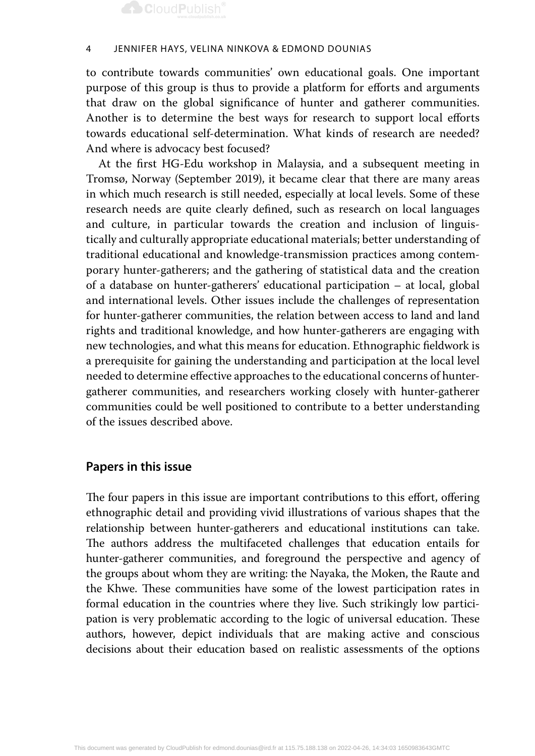## **CloudPublish®**

#### 4 Jennifer Hays, Velina Ninkova & Edmond Dounias

to contribute towards communities' own educational goals. One important purpose of this group is thus to provide a platform for efforts and arguments that draw on the global significance of hunter and gatherer communities. Another is to determine the best ways for research to support local efforts towards educational self-determination. What kinds of research are needed? And where is advocacy best focused?

At the first HG-Edu workshop in Malaysia, and a subsequent meeting in Tromsø, Norway (September 2019), it became clear that there are many areas in which much research is still needed, especially at local levels. Some of these research needs are quite clearly defined, such as research on local languages and culture, in particular towards the creation and inclusion of linguistically and culturally appropriate educational materials; better understanding of traditional educational and knowledge-transmission practices among contemporary hunter-gatherers; and the gathering of statistical data and the creation of a database on hunter-gatherers' educational participation – at local, global and international levels. Other issues include the challenges of representation for hunter-gatherer communities, the relation between access to land and land rights and traditional knowledge, and how hunter-gatherers are engaging with new technologies, and what this means for education. Ethnographic fieldwork is a prerequisite for gaining the understanding and participation at the local level needed to determine effective approaches to the educational concerns of huntergatherer communities, and researchers working closely with hunter-gatherer communities could be well positioned to contribute to a better understanding of the issues described above.

### **Papers in this issue**

The four papers in this issue are important contributions to this effort, offering ethnographic detail and providing vivid illustrations of various shapes that the relationship between hunter-gatherers and educational institutions can take. The authors address the multifaceted challenges that education entails for hunter-gatherer communities, and foreground the perspective and agency of the groups about whom they are writing: the Nayaka, the Moken, the Raute and the Khwe. These communities have some of the lowest participation rates in formal education in the countries where they live. Such strikingly low participation is very problematic according to the logic of universal education. These authors, however, depict individuals that are making active and conscious decisions about their education based on realistic assessments of the options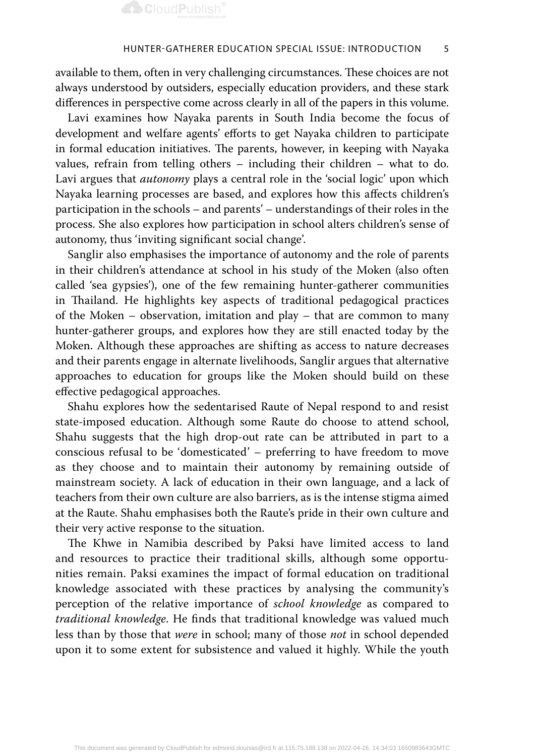available to them, often in very challenging circumstances. These choices are not always understood by outsiders, especially education providers, and these stark differences in perspective come across clearly in all of the papers in this volume.

Lavi examines how Nayaka parents in South India become the focus of development and welfare agents' efforts to get Nayaka children to participate in formal education initiatives. The parents, however, in keeping with Nayaka values, refrain from telling others – including their children – what to do. Lavi argues that *autonomy* plays a central role in the 'social logic' upon which Nayaka learning processes are based, and explores how this affects children's participation in the schools – and parents' – understandings of their roles in the process. She also explores how participation in school alters children's sense of autonomy, thus 'inviting significant social change'.

Sanglir also emphasises the importance of autonomy and the role of parents in their children's attendance at school in his study of the Moken (also often called 'sea gypsies'), one of the few remaining hunter-gatherer communities in Thailand. He highlights key aspects of traditional pedagogical practices of the Moken – observation, imitation and play – that are common to many hunter-gatherer groups, and explores how they are still enacted today by the Moken. Although these approaches are shifting as access to nature decreases and their parents engage in alternate livelihoods, Sanglir argues that alternative approaches to education for groups like the Moken should build on these effective pedagogical approaches.

Shahu explores how the sedentarised Raute of Nepal respond to and resist state-imposed education. Although some Raute do choose to attend school, Shahu suggests that the high drop-out rate can be attributed in part to a conscious refusal to be 'domesticated' – preferring to have freedom to move as they choose and to maintain their autonomy by remaining outside of mainstream society. A lack of education in their own language, and a lack of teachers from their own culture are also barriers, as is the intense stigma aimed at the Raute. Shahu emphasises both the Raute's pride in their own culture and their very active response to the situation.

The Khwe in Namibia described by Paksi have limited access to land and resources to practice their traditional skills, although some opportunities remain. Paksi examines the impact of formal education on traditional knowledge associated with these practices by analysing the community's perception of the relative importance of *school knowledge* as compared to *traditional knowledge*. He finds that traditional knowledge was valued much less than by those that *were* in school; many of those *not* in school depended upon it to some extent for subsistence and valued it highly. While the youth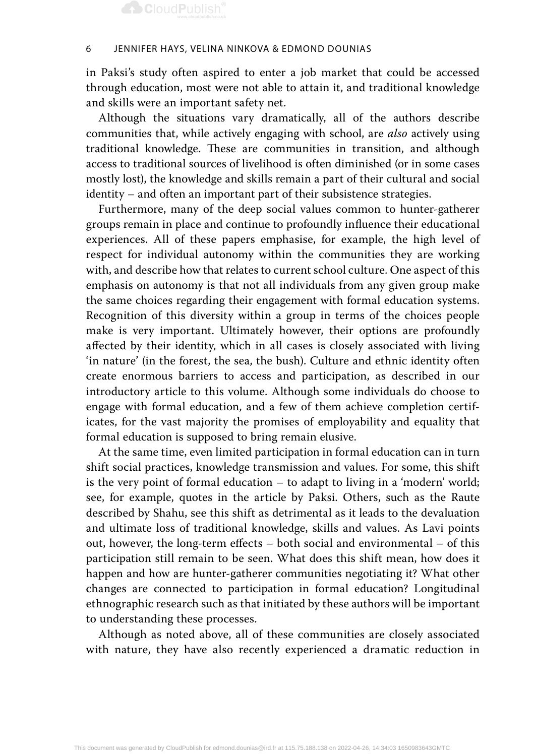## **CloudPublish®**

#### 6 Jennifer Hays, Velina Ninkova & Edmond Dounias

in Paksi's study often aspired to enter a job market that could be accessed through education, most were not able to attain it, and traditional knowledge and skills were an important safety net.

Although the situations vary dramatically, all of the authors describe communities that, while actively engaging with school, are *also* actively using traditional knowledge. These are communities in transition, and although access to traditional sources of livelihood is often diminished (or in some cases mostly lost), the knowledge and skills remain a part of their cultural and social identity – and often an important part of their subsistence strategies.

Furthermore, many of the deep social values common to hunter-gatherer groups remain in place and continue to profoundly influence their educational experiences. All of these papers emphasise, for example, the high level of respect for individual autonomy within the communities they are working with, and describe how that relates to current school culture. One aspect of this emphasis on autonomy is that not all individuals from any given group make the same choices regarding their engagement with formal education systems. Recognition of this diversity within a group in terms of the choices people make is very important. Ultimately however, their options are profoundly affected by their identity, which in all cases is closely associated with living 'in nature' (in the forest, the sea, the bush). Culture and ethnic identity often create enormous barriers to access and participation, as described in our introductory article to this volume. Although some individuals do choose to engage with formal education, and a few of them achieve completion certificates, for the vast majority the promises of employability and equality that formal education is supposed to bring remain elusive.

At the same time, even limited participation in formal education can in turn shift social practices, knowledge transmission and values. For some, this shift is the very point of formal education – to adapt to living in a 'modern' world; see, for example, quotes in the article by Paksi. Others, such as the Raute described by Shahu, see this shift as detrimental as it leads to the devaluation and ultimate loss of traditional knowledge, skills and values. As Lavi points out, however, the long-term effects – both social and environmental – of this participation still remain to be seen. What does this shift mean, how does it happen and how are hunter-gatherer communities negotiating it? What other changes are connected to participation in formal education? Longitudinal ethnographic research such as that initiated by these authors will be important to understanding these processes.

Although as noted above, all of these communities are closely associated with nature, they have also recently experienced a dramatic reduction in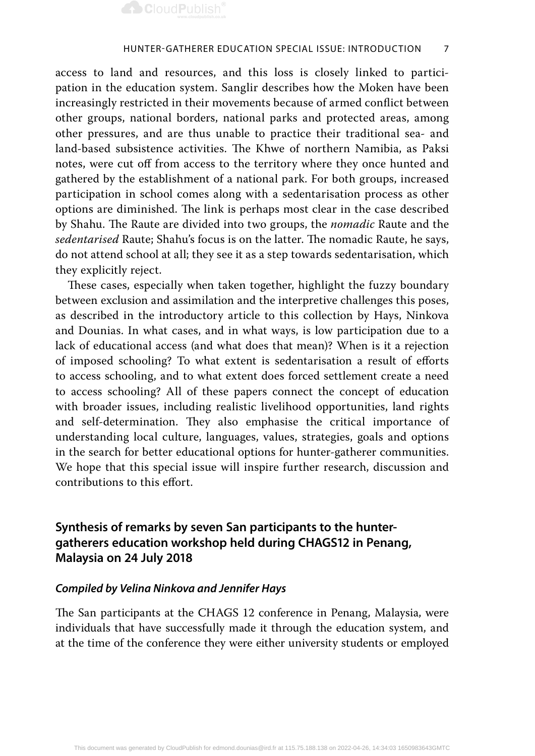

access to land and resources, and this loss is closely linked to participation in the education system. Sanglir describes how the Moken have been increasingly restricted in their movements because of armed conflict between other groups, national borders, national parks and protected areas, among other pressures, and are thus unable to practice their traditional sea- and land-based subsistence activities. The Khwe of northern Namibia, as Paksi notes, were cut off from access to the territory where they once hunted and gathered by the establishment of a national park. For both groups, increased participation in school comes along with a sedentarisation process as other options are diminished. The link is perhaps most clear in the case described by Shahu. The Raute are divided into two groups, the *nomadic* Raute and the *sedentarised* Raute; Shahu's focus is on the latter. The nomadic Raute, he says, do not attend school at all; they see it as a step towards sedentarisation, which they explicitly reject.

These cases, especially when taken together, highlight the fuzzy boundary between exclusion and assimilation and the interpretive challenges this poses, as described in the introductory article to this collection by Hays, Ninkova and Dounias. In what cases, and in what ways, is low participation due to a lack of educational access (and what does that mean)? When is it a rejection of imposed schooling? To what extent is sedentarisation a result of efforts to access schooling, and to what extent does forced settlement create a need to access schooling? All of these papers connect the concept of education with broader issues, including realistic livelihood opportunities, land rights and self-determination. They also emphasise the critical importance of understanding local culture, languages, values, strategies, goals and options in the search for better educational options for hunter-gatherer communities. We hope that this special issue will inspire further research, discussion and contributions to this effort.

## **Synthesis of remarks by seven San participants to the huntergatherers education workshop held during CHAGS12 in Penang, Malaysia on 24 July 2018**

### *Compiled by Velina Ninkova and Jennifer Hays*

The San participants at the CHAGS 12 conference in Penang, Malaysia, were individuals that have successfully made it through the education system, and at the time of the conference they were either university students or employed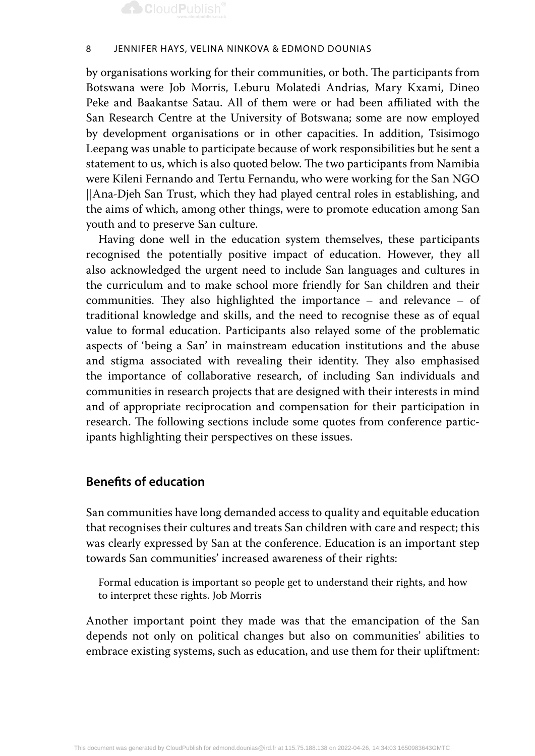

by organisations working for their communities, or both. The participants from Botswana were Job Morris, Leburu Molatedi Andrias, Mary Kxami, Dineo Peke and Baakantse Satau. All of them were or had been affiliated with the San Research Centre at the University of Botswana; some are now employed by development organisations or in other capacities. In addition, Tsisimogo Leepang was unable to participate because of work responsibilities but he sent a statement to us, which is also quoted below. The two participants from Namibia were Kileni Fernando and Tertu Fernandu, who were working for the San NGO *||*Ana-Djeh San Trust, which they had played central roles in establishing, and the aims of which, among other things, were to promote education among San youth and to preserve San culture.

Having done well in the education system themselves, these participants recognised the potentially positive impact of education. However, they all also acknowledged the urgent need to include San languages and cultures in the curriculum and to make school more friendly for San children and their communities. They also highlighted the importance – and relevance – of traditional knowledge and skills, and the need to recognise these as of equal value to formal education. Participants also relayed some of the problematic aspects of 'being a San' in mainstream education institutions and the abuse and stigma associated with revealing their identity. They also emphasised the importance of collaborative research, of including San individuals and communities in research projects that are designed with their interests in mind and of appropriate reciprocation and compensation for their participation in research. The following sections include some quotes from conference participants highlighting their perspectives on these issues.

## **Benefits of education**

San communities have long demanded access to quality and equitable education that recognises their cultures and treats San children with care and respect; this was clearly expressed by San at the conference. Education is an important step towards San communities' increased awareness of their rights:

Formal education is important so people get to understand their rights, and how to interpret these rights. Job Morris

Another important point they made was that the emancipation of the San depends not only on political changes but also on communities' abilities to embrace existing systems, such as education, and use them for their upliftment: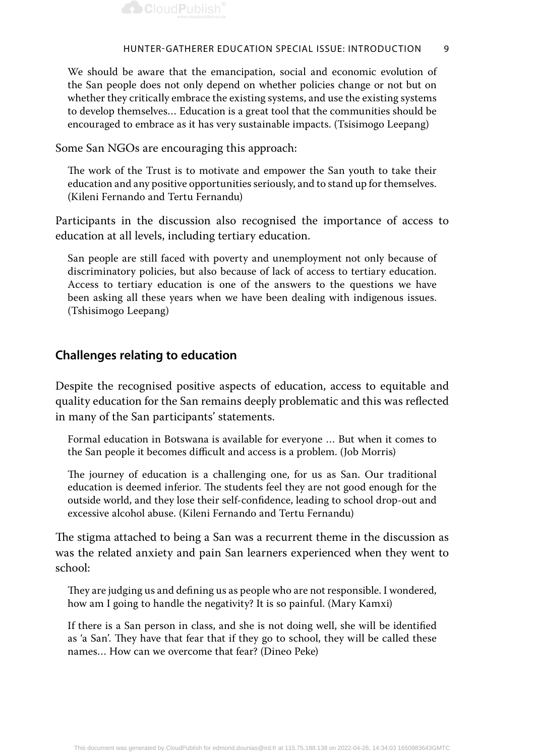

We should be aware that the emancipation, social and economic evolution of the San people does not only depend on whether policies change or not but on whether they critically embrace the existing systems, and use the existing systems to develop themselves… Education is a great tool that the communities should be encouraged to embrace as it has very sustainable impacts. (Tsisimogo Leepang)

Some San NGOs are encouraging this approach:

The work of the Trust is to motivate and empower the San youth to take their education and any positive opportunities seriously, and to stand up for themselves. (Kileni Fernando and Tertu Fernandu)

Participants in the discussion also recognised the importance of access to education at all levels, including tertiary education.

San people are still faced with poverty and unemployment not only because of discriminatory policies, but also because of lack of access to tertiary education. Access to tertiary education is one of the answers to the questions we have been asking all these years when we have been dealing with indigenous issues. (Tshisimogo Leepang)

### **Challenges relating to education**

Despite the recognised positive aspects of education, access to equitable and quality education for the San remains deeply problematic and this was reflected in many of the San participants' statements.

Formal education in Botswana is available for everyone … But when it comes to the San people it becomes difficult and access is a problem. (Job Morris)

The journey of education is a challenging one, for us as San. Our traditional education is deemed inferior. The students feel they are not good enough for the outside world, and they lose their self-confidence, leading to school drop-out and excessive alcohol abuse. (Kileni Fernando and Tertu Fernandu)

The stigma attached to being a San was a recurrent theme in the discussion as was the related anxiety and pain San learners experienced when they went to school:

They are judging us and defining us as people who are not responsible. I wondered, how am I going to handle the negativity? It is so painful. (Mary Kamxi)

If there is a San person in class, and she is not doing well, she will be identified as 'a San'. They have that fear that if they go to school, they will be called these names… How can we overcome that fear? (Dineo Peke)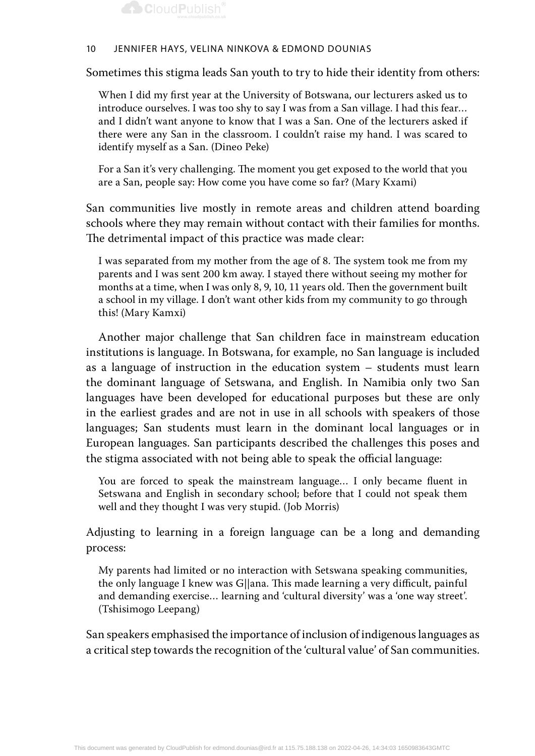

Sometimes this stigma leads San youth to try to hide their identity from others:

When I did my first year at the University of Botswana, our lecturers asked us to introduce ourselves. I was too shy to say I was from a San village. I had this fear… and I didn't want anyone to know that I was a San. One of the lecturers asked if there were any San in the classroom. I couldn't raise my hand. I was scared to identify myself as a San. (Dineo Peke)

For a San it's very challenging. The moment you get exposed to the world that you are a San, people say: How come you have come so far? (Mary Kxami)

San communities live mostly in remote areas and children attend boarding schools where they may remain without contact with their families for months. The detrimental impact of this practice was made clear:

I was separated from my mother from the age of 8. The system took me from my parents and I was sent 200 km away. I stayed there without seeing my mother for months at a time, when I was only 8, 9, 10, 11 years old. Then the government built a school in my village. I don't want other kids from my community to go through this! (Mary Kamxi)

Another major challenge that San children face in mainstream education institutions is language. In Botswana, for example, no San language is included as a language of instruction in the education system – students must learn the dominant language of Setswana, and English. In Namibia only two San languages have been developed for educational purposes but these are only in the earliest grades and are not in use in all schools with speakers of those languages; San students must learn in the dominant local languages or in European languages. San participants described the challenges this poses and the stigma associated with not being able to speak the official language:

You are forced to speak the mainstream language… I only became fluent in Setswana and English in secondary school; before that I could not speak them well and they thought I was very stupid. (Job Morris)

Adjusting to learning in a foreign language can be a long and demanding process:

My parents had limited or no interaction with Setswana speaking communities, the only language I knew was G||ana. This made learning a very difficult, painful and demanding exercise… learning and 'cultural diversity' was a 'one way street'. (Tshisimogo Leepang)

San speakers emphasised the importance of inclusion of indigenous languages as a critical step towards the recognition of the 'cultural value' of San communities.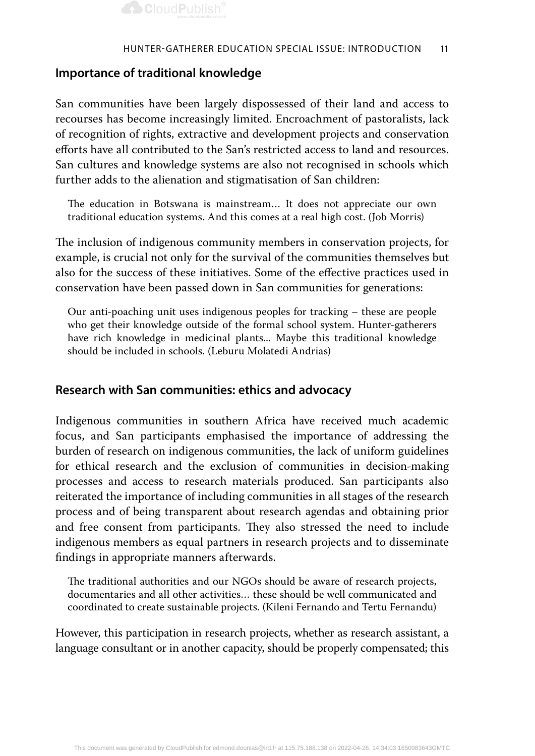## **Importance of traditional knowledge**

San communities have been largely dispossessed of their land and access to recourses has become increasingly limited. Encroachment of pastoralists, lack of recognition of rights, extractive and development projects and conservation efforts have all contributed to the San's restricted access to land and resources. San cultures and knowledge systems are also not recognised in schools which further adds to the alienation and stigmatisation of San children:

The education in Botswana is mainstream… It does not appreciate our own traditional education systems. And this comes at a real high cost. (Job Morris)

The inclusion of indigenous community members in conservation projects, for example, is crucial not only for the survival of the communities themselves but also for the success of these initiatives. Some of the effective practices used in conservation have been passed down in San communities for generations:

Our anti-poaching unit uses indigenous peoples for tracking – these are people who get their knowledge outside of the formal school system. Hunter-gatherers have rich knowledge in medicinal plants... Maybe this traditional knowledge should be included in schools. (Leburu Molatedi Andrias)

## **Research with San communities: ethics and advocacy**

Indigenous communities in southern Africa have received much academic focus, and San participants emphasised the importance of addressing the burden of research on indigenous communities, the lack of uniform guidelines for ethical research and the exclusion of communities in decision-making processes and access to research materials produced. San participants also reiterated the importance of including communities in all stages of the research process and of being transparent about research agendas and obtaining prior and free consent from participants. They also stressed the need to include indigenous members as equal partners in research projects and to disseminate findings in appropriate manners afterwards.

The traditional authorities and our NGOs should be aware of research projects, documentaries and all other activities… these should be well communicated and coordinated to create sustainable projects. (Kileni Fernando and Tertu Fernandu)

However, this participation in research projects, whether as research assistant, a language consultant or in another capacity, should be properly compensated; this